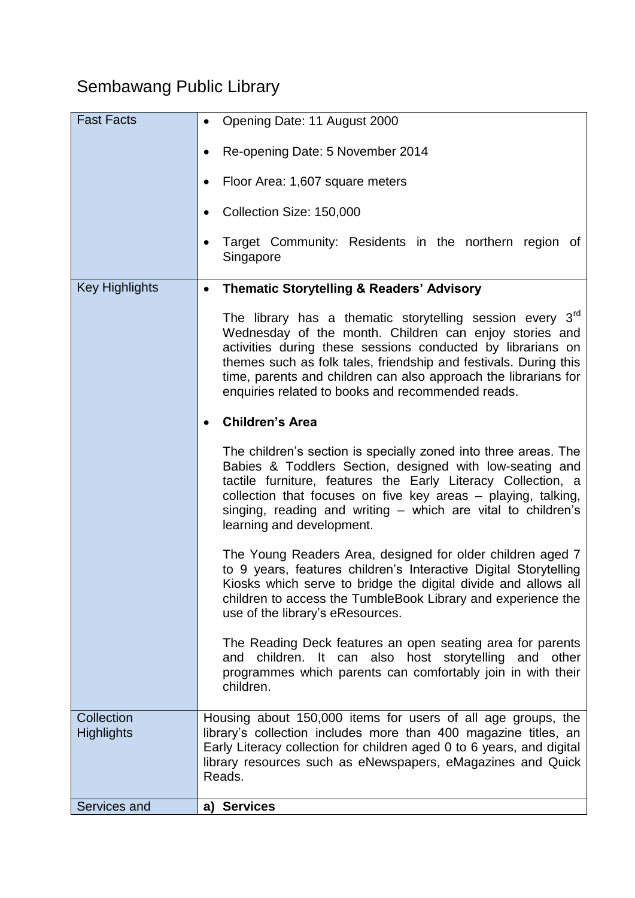## Sembawang Public Library

| <b>Fast Facts</b>               | Opening Date: 11 August 2000                                                                                                                                                                                                                                                                                                                                                     |
|---------------------------------|----------------------------------------------------------------------------------------------------------------------------------------------------------------------------------------------------------------------------------------------------------------------------------------------------------------------------------------------------------------------------------|
|                                 | Re-opening Date: 5 November 2014<br>$\bullet$                                                                                                                                                                                                                                                                                                                                    |
|                                 | Floor Area: 1,607 square meters                                                                                                                                                                                                                                                                                                                                                  |
|                                 | Collection Size: 150,000                                                                                                                                                                                                                                                                                                                                                         |
|                                 | Target Community: Residents in the northern region of<br>Singapore                                                                                                                                                                                                                                                                                                               |
| <b>Key Highlights</b>           | <b>Thematic Storytelling &amp; Readers' Advisory</b><br>$\bullet$                                                                                                                                                                                                                                                                                                                |
|                                 | The library has a thematic storytelling session every $3rd$<br>Wednesday of the month. Children can enjoy stories and<br>activities during these sessions conducted by librarians on<br>themes such as folk tales, friendship and festivals. During this<br>time, parents and children can also approach the librarians for<br>enquiries related to books and recommended reads. |
|                                 | <b>Children's Area</b>                                                                                                                                                                                                                                                                                                                                                           |
|                                 | The children's section is specially zoned into three areas. The<br>Babies & Toddlers Section, designed with low-seating and<br>tactile furniture, features the Early Literacy Collection, a<br>collection that focuses on five key areas – playing, talking,<br>singing, reading and writing - which are vital to children's<br>learning and development.                        |
|                                 | The Young Readers Area, designed for older children aged 7<br>to 9 years, features children's Interactive Digital Storytelling<br>Kiosks which serve to bridge the digital divide and allows all<br>children to access the TumbleBook Library and experience the<br>use of the library's eResources.                                                                             |
|                                 | The Reading Deck features an open seating area for parents<br>and children. It can also host storytelling and other<br>programmes which parents can comfortably join in with their<br>children.                                                                                                                                                                                  |
| Collection<br><b>Highlights</b> | Housing about 150,000 items for users of all age groups, the<br>library's collection includes more than 400 magazine titles, an<br>Early Literacy collection for children aged 0 to 6 years, and digital<br>library resources such as eNewspapers, eMagazines and Quick<br>Reads.                                                                                                |
| Services and                    | <b>Services</b><br>a)                                                                                                                                                                                                                                                                                                                                                            |